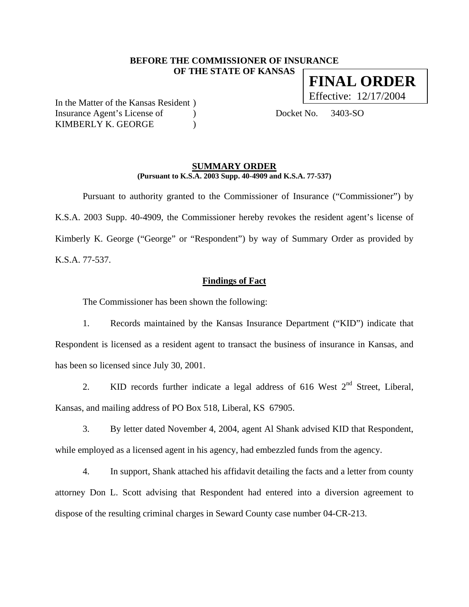### **BEFORE THE COMMISSIONER OF INSURANCE OF THE STATE OF KANSAS**

In the Matter of the Kansas Resident ) Insurance Agent's License of (a) Docket No. 3403-SO KIMBERLY K. GEORGE )

#### **SUMMARY ORDER (Pursuant to K.S.A. 2003 Supp. 40-4909 and K.S.A. 77-537)**

 Pursuant to authority granted to the Commissioner of Insurance ("Commissioner") by K.S.A. 2003 Supp. 40-4909, the Commissioner hereby revokes the resident agent's license of Kimberly K. George ("George" or "Respondent") by way of Summary Order as provided by K.S.A. 77-537.

**Findings of Fact**

The Commissioner has been shown the following:

1. Records maintained by the Kansas Insurance Department ("KID") indicate that Respondent is licensed as a resident agent to transact the business of insurance in Kansas, and has been so licensed since July 30, 2001.

2. KID records further indicate a legal address of 616 West  $2<sup>nd</sup>$  Street, Liberal, Kansas, and mailing address of PO Box 518, Liberal, KS 67905.

3. By letter dated November 4, 2004, agent Al Shank advised KID that Respondent, while employed as a licensed agent in his agency, had embezzled funds from the agency.

4. In support, Shank attached his affidavit detailing the facts and a letter from county attorney Don L. Scott advising that Respondent had entered into a diversion agreement to dispose of the resulting criminal charges in Seward County case number 04-CR-213.

**FINAL ORDER** Effective: 12/17/2004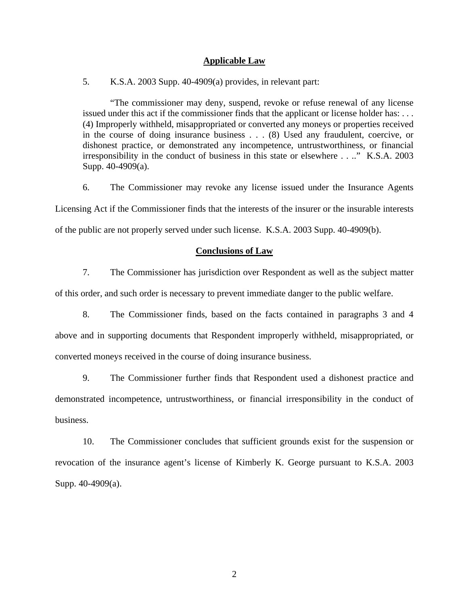#### **Applicable Law**

5. K.S.A. 2003 Supp. 40-4909(a) provides, in relevant part:

"The commissioner may deny, suspend, revoke or refuse renewal of any license issued under this act if the commissioner finds that the applicant or license holder has: . . . (4) Improperly withheld, misappropriated or converted any moneys or properties received in the course of doing insurance business . . . (8) Used any fraudulent, coercive, or dishonest practice, or demonstrated any incompetence, untrustworthiness, or financial irresponsibility in the conduct of business in this state or elsewhere . . .." K.S.A. 2003 Supp. 40-4909(a).

6. The Commissioner may revoke any license issued under the Insurance Agents Licensing Act if the Commissioner finds that the interests of the insurer or the insurable interests of the public are not properly served under such license. K.S.A. 2003 Supp. 40-4909(b).

## **Conclusions of Law**

7. The Commissioner has jurisdiction over Respondent as well as the subject matter of this order, and such order is necessary to prevent immediate danger to the public welfare.

8. The Commissioner finds, based on the facts contained in paragraphs 3 and 4 above and in supporting documents that Respondent improperly withheld, misappropriated, or converted moneys received in the course of doing insurance business.

9. The Commissioner further finds that Respondent used a dishonest practice and demonstrated incompetence, untrustworthiness, or financial irresponsibility in the conduct of business.

10. The Commissioner concludes that sufficient grounds exist for the suspension or revocation of the insurance agent's license of Kimberly K. George pursuant to K.S.A. 2003 Supp. 40-4909(a).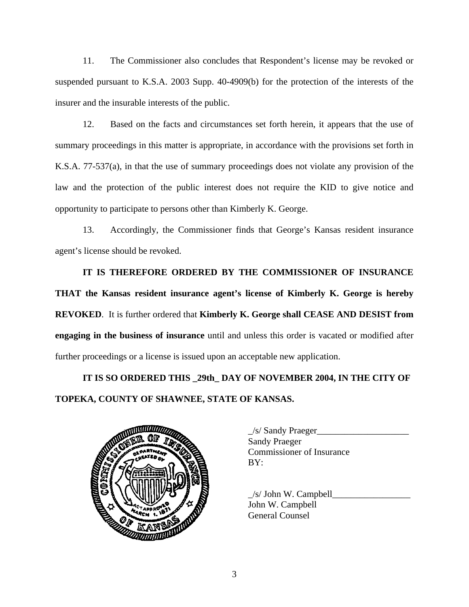11. The Commissioner also concludes that Respondent's license may be revoked or suspended pursuant to K.S.A. 2003 Supp. 40-4909(b) for the protection of the interests of the insurer and the insurable interests of the public.

12. Based on the facts and circumstances set forth herein, it appears that the use of summary proceedings in this matter is appropriate, in accordance with the provisions set forth in K.S.A. 77-537(a), in that the use of summary proceedings does not violate any provision of the law and the protection of the public interest does not require the KID to give notice and opportunity to participate to persons other than Kimberly K. George.

13. Accordingly, the Commissioner finds that George's Kansas resident insurance agent's license should be revoked.

**IT IS THEREFORE ORDERED BY THE COMMISSIONER OF INSURANCE THAT the Kansas resident insurance agent's license of Kimberly K. George is hereby REVOKED**. It is further ordered that **Kimberly K. George shall CEASE AND DESIST from engaging in the business of insurance** until and unless this order is vacated or modified after further proceedings or a license is issued upon an acceptable new application.

**IT IS SO ORDERED THIS \_29th\_ DAY OF NOVEMBER 2004, IN THE CITY OF TOPEKA, COUNTY OF SHAWNEE, STATE OF KANSAS.** 



| $\angle$ s/ Sandy Praeger        |
|----------------------------------|
| <b>Sandy Praeger</b>             |
| <b>Commissioner of Insurance</b> |
| BY:                              |
|                                  |

 $/s/$  John W. Campbell John W. Campbell General Counsel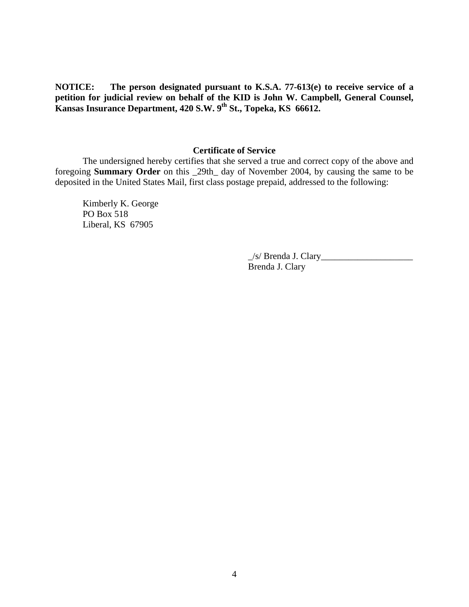**NOTICE: The person designated pursuant to K.S.A. 77-613(e) to receive service of a petition for judicial review on behalf of the KID is John W. Campbell, General Counsel, Kansas Insurance Department, 420 S.W. 9th St., Topeka, KS 66612.** 

# **Certificate of Service**

 The undersigned hereby certifies that she served a true and correct copy of the above and foregoing **Summary Order** on this \_29th\_ day of November 2004, by causing the same to be deposited in the United States Mail, first class postage prepaid, addressed to the following:

Kimberly K. George PO Box 518 Liberal, KS 67905

> $\angle$ s/ Brenda J. Clary $\angle$ Brenda J. Clary